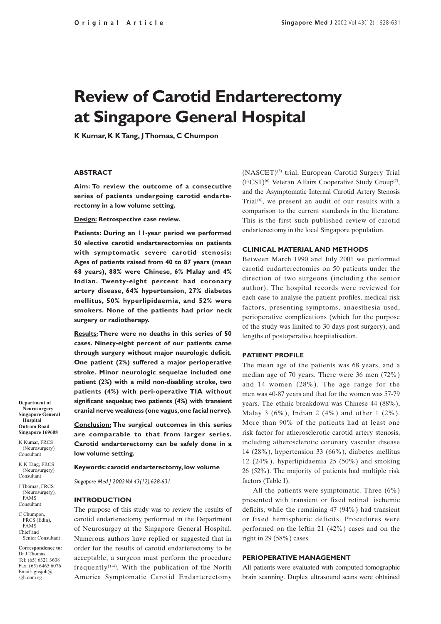# **Review of Carotid Endarterectomy at Singapore General Hospital**

**K Kumar, K K Tang, J Thomas, C Chumpon**

#### **ABSTRACT**

**Aim: To review the outcome of a consecutive series of patients undergoing carotid endarterectomy in a low volume setting.**

**Design: Retrospective case review.**

**Patients: During an 11-year period we performed 50 elective carotid endarterectomies on patients with symptomatic severe carotid stenosis: Ages of patients raised from 40 to 87 years (mean 68 years), 88% were Chinese, 6% Malay and 4% Indian. Twenty-eight percent had coronary artery disease, 64% hypertension, 27% diabetes mellitus, 50% hyperlipidaemia, and 52% were smokers. None of the patients had prior neck surgery or radiotherapy.**

**Results: There were no deaths in this series of 50 cases. Ninety-eight percent of our patients came through surgery without major neurologic deficit. One patient (2%) suffered a major perioperative stroke. Minor neurologic sequelae included one patient (2%) with a mild non-disabling stroke, two patients (4%) with peri-operative TIA without significant sequelae; two patients (4%) with transient cranial nerve weakness (one vagus, one facial nerve).**

**Conclusion: The surgical outcomes in this series are comparable to that from larger series. Carotid endarterectomy can be safely done in a low volume setting.**

**Keywords: carotid endarterectomy, low volume**

*Singapore Med J 2002 Vol 43(12):628-631*

#### **INTRODUCTION**

The purpose of this study was to review the results of carotid endarterectomy performed in the Department of Neurosurgey at the Singapore General Hospital. Numerous authors have replied or suggested that in order for the results of carotid endarterectomy to be acceptable, a surgeon must perform the procedure frequently<sup>(1-4)</sup>. With the publication of the North America Symptomatic Carotid Endarterectomy

(NASCET)(5) trial, European Carotid Surgery Trial (ECST)(6) Veteran Affairs Cooperative Study Group(7), and the Asymptomatic Internal Carotid Artery Stenosis Trial $(8)$ , we present an audit of our results with a comparison to the current standards in the literature. This is the first such published review of carotid endarterectomy in the local Singapore population.

### **CLINICAL MATERIAL AND METHODS**

Between March 1990 and July 2001 we performed carotid endarterectomies on 50 patients under the direction of two surgeons (including the senior author). The hospital records were reviewed for each case to analyse the patient profiles, medical risk factors, presenting symptoms, anaesthesia used, perioperative complications (which for the purpose of the study was limited to 30 days post surgery), and lengths of postoperative hospitalisation.

#### **PATIENT PROFILE**

The mean age of the patients was 68 years, and a median age of 70 years. There were 36 men (72%) and 14 women (28%). The age range for the men was 40-87 years and that for the women was 57-79 years. The ethnic breakdown was Chinese 44 (88%), Malay 3 (6%), Indian 2 (4%) and other 1 (2%). More than 90% of the patients had at least one risk factor for atherosclerotic carotid artery stenosis, including atherosclerotic coronary vascular disease 14 (28%), hypertension 33 (66%), diabetes mellitus 12 (24%), hyperlipidaemia 25 (50%) and smoking 26 (52%). The majority of patients had multiple risk factors (Table I).

All the patients were symptomatic. Three (6%) presented with transient or fixed retinal ischemic deficits, while the remaining 47 (94%) had transient or fixed hemispheric deficits. Procedures were performed on the leftin 21 (42%) cases and on the right in 29 (58%) cases.

#### **PERIOPERATIVE MANAGEMENT**

All patients were evaluated with computed tomographic brain scanning. Duplex ultrasound scans were obtained

**Department of Neurosurgery Singapore General Hospital Outram Road Singapore 169608**

K Kumar, FRCS (Neurosurgery) Consultant

K K Tang, FRCS (Neurosurgery) Consultant

J Thomas, FRCS (Neurosurgery), FAMS Consultant

C Chumpon, FRCS (Edin), FAMS Chief and Senior Consultant

**Correspondence to:** Dr J Thomas Tel: (65) 6321 3608 Fax: (65) 6465 6076 Email: gnsjoh@ sgh.com.sg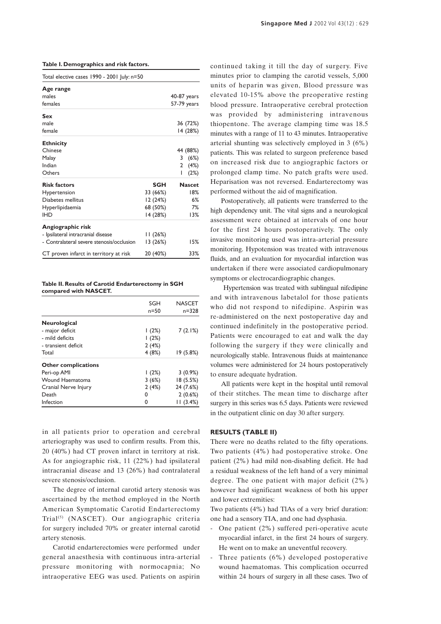**Table I. Demographics and risk factors.**

| Total elective cases 1990 - 2001 July: n=50                                                                                                    |                                                     |                                                            |
|------------------------------------------------------------------------------------------------------------------------------------------------|-----------------------------------------------------|------------------------------------------------------------|
| Age range<br>males<br>females                                                                                                                  |                                                     | 40-87 years<br>57-79 years                                 |
| Sex<br>male<br>female                                                                                                                          |                                                     | 36 (72%)<br>14 (28%)                                       |
| <b>Ethnicity</b><br>Chinese<br>Malay<br>Indian<br>Others                                                                                       |                                                     | 44 (88%)<br>3<br>(6%)<br>(4%)<br>$\mathbf{2}$<br>ı<br>(2%) |
| <b>Risk factors</b><br>Hypertension<br>Diabetes mellitus<br>Hyperlipidaemia<br><b>IHD</b>                                                      | SGH<br>33 (66%)<br>12 (24%)<br>68 (50%)<br>14 (28%) | <b>Nascet</b><br>18%<br>6%<br>7%<br>13%                    |
| Angiographic risk<br>- Ipsilateral intracranial disease<br>- Contralateral severe stenosis/occlusion<br>CT proven infarct in territory at risk | 11 (26%)<br>13 (26%)<br>20 (40%)                    | 15%<br>33%                                                 |

**Table II. Results of Carotid Endarterectomy in SGH compared with NASCET.**

|                            | SGH<br>$n=50$ | <b>NASCET</b><br>$n = 328$ |
|----------------------------|---------------|----------------------------|
| Neurological               |               |                            |
| - major deficit            | (2%)          | 7(2.1%)                    |
| - mild deficits            | (2%)          |                            |
| - transient deficit        | 2(4%)         |                            |
| Total                      | 4(8%)         | 19 (5.8%)                  |
| <b>Other complications</b> |               |                            |
| Peri-op AMI                | (2%)          | $3(0.9\%)$                 |
| Wound Haematoma            | 3(6%)         | 18 (5.5%)                  |
| Cranial Nerve Injury       | 2(4%)         | 24 (7.6%)                  |
| Death                      | 0             | 2(0.6%)                    |
| Infection                  | ŋ             | 11(3.4%)                   |

in all patients prior to operation and cerebral arteriography was used to confirm results. From this, 20 (40%) had CT proven infarct in territory at risk. As for angiographic risk, 11 (22%) had ipsilateral intracranial disease and 13 (26%) had contralateral severe stenosis/occlusion.

The degree of internal carotid artery stenosis was ascertained by the method employed in the North American Symptomatic Carotid Endarterectomy Trial(5) (NASCET). Our angiographic criteria for surgery included 70% or greater internal carotid artery stenosis.

Carotid endarterectomies were performed under general anaesthesia with continuous intra-arterial pressure monitoring with normocapnia; No intraoperative EEG was used. Patients on aspirin continued taking it till the day of surgery. Five minutes prior to clamping the carotid vessels, 5,000 units of heparin was given, Blood pressure was elevated 10-15% above the preoperative resting blood pressure. Intraoperative cerebral protection was provided by administering intravenous thiopentone. The average clamping time was 18.5 minutes with a range of 11 to 43 minutes. Intraoperative arterial shunting was selectively employed in 3 (6%) patients. This was related to surgeon preference based on increased risk due to angiographic factors or prolonged clamp time. No patch grafts were used. Heparisation was not reversed. Endarterectomy was performed without the aid of magnification.

Postoperatively, all patients were transferred to the high dependency unit. The vital signs and a neurological assessment were obtained at intervals of one hour for the first 24 hours postoperatively. The only invasive monitoring used was intra-arterial pressure monitoring. Hypotension was treated with intravenous fluids, and an evaluation for myocardial infarction was undertaken if there were associated cardiopulmonary symptoms or electrocardiographic changes.

 Hypertension was treated with sublingual nifedipine and with intravenous labetalol for those patients who did not respond to nifedipine. Aspirin was re-administered on the next postoperative day and continued indefinitely in the postoperative period. Patients were encouraged to eat and walk the day following the surgery if they were clinically and neurologically stable. Intravenous fluids at maintenance volumes were administered for 24 hours postoperatively to ensure adequate hydration.

All patients were kept in the hospital until removal of their stitches. The mean time to discharge after surgery in this series was 6.5 days. Patients were reviewed in the outpatient clinic on day 30 after surgery.

# **RESULTS (TABLE II)**

There were no deaths related to the fifty operations. Two patients (4%) had postoperative stroke. One patient (2%) had mild non-disabling deficit. He had a residual weakness of the left hand of a very minimal degree. The one patient with major deficit (2%) however had significant weakness of both his upper and lower extremities:

Two patients (4%) had TlAs of a very brief duration: one had a sensory TIA, and one had dysphasia.

- One patient (2%) suffered peri-operative acute myocardial infarct, in the first 24 hours of surgery. He went on to make an uneventful recovery.
- Three patients (6%) developed postoperative wound haematomas. This complication occurred within 24 hours of surgery in all these cases. Two of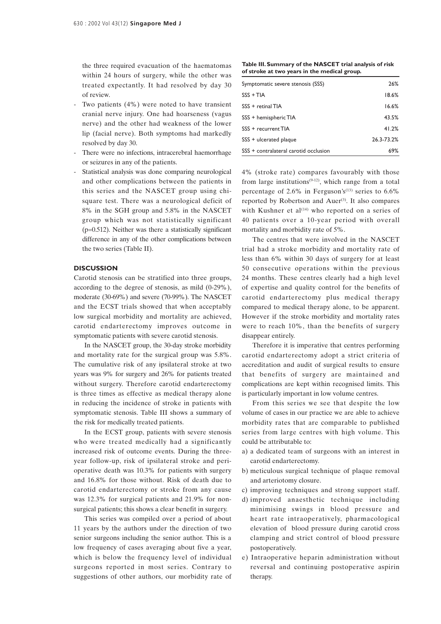the three required evacuation of the haematomas within 24 hours of surgery, while the other was treated expectantly. It had resolved by day 30 of review.

- Two patients  $(4\%)$  were noted to have transient cranial nerve injury. One had hoarseness (vagus nerve) and the other had weakness of the lower lip (facial nerve). Both symptoms had markedly resolved by day 30.
- There were no infections, intracerebral haemorrhage or seizures in any of the patients.
- Statistical analysis was done comparing neurological and other complications between the patients in this series and the NASCET group using chisquare test. There was a neurological deficit of 8% in the SGH group and 5.8% in the NASCET group which was not statistically significant  $(p=0.512)$ . Neither was there a statistically significant difference in any of the other complications between the two series (Table II).

#### **DISCUSSION**

Carotid stenosis can be stratified into three groups, according to the degree of stenosis, as mild (0-29%), moderate (30-69%) and severe (70-99%). The NASCET and the ECST trials showed that when acceptably low surgical morbidity and mortality are achieved, carotid endarterectomy improves outcome in symptomatic patients with severe carotid stenosis.

In the NASCET group, the 30-day stroke morbidity and mortality rate for the surgical group was 5.8%. The cumulative risk of any ipsilateral stroke at two years was 9% for surgery and 26% for patients treated without surgery. Therefore carotid endarterectomy is three times as effective as medical therapy alone in reducing the incidence of stroke in patients with symptomatic stenosis. Table III shows a summary of the risk for medically treated patients.

In the ECST group, patients with severe stenosis who were treated medically had a significantly increased risk of outcome events. During the threeyear follow-up, risk of ipsilateral stroke and perioperative death was 10.3% for patients with surgery and 16.8% for those without. Risk of death due to carotid endarterectomy or stroke from any cause was 12.3% for surgical patients and 21.9% for nonsurgical patients; this shows a clear benefit in surgery.

This series was compiled over a period of about 11 years by the authors under the direction of two senior surgeons including the senior author. This is a low frequency of cases averaging about five a year, which is below the frequency level of individual surgeons reported in most series. Contrary to suggestions of other authors, our morbidity rate of

**Table III. Summary of the NASCET trial analysis of risk of stroke at two years in the medical group.**

| Symptomatic severe stenosis (SSS)     | 26%        |
|---------------------------------------|------------|
| $SSS + TIA$                           | 18.6%      |
| $SSS +$ refinal TIA                   | 16.6%      |
| SSS + hemispheric TIA                 | 43.5%      |
| SSS + recurrent TIA                   | 41.2%      |
| SSS + ulcerated plaque                | 26.3-73.2% |
| SSS + contralateral carotid occlusion | 69%        |

4% (stroke rate) compares favourably with those from large institutions<sup> $(9-12)$ </sup>, which range from a total percentage of 2.6% in Ferguson's<sup>(13)</sup> series to  $6.6\%$ reported by Robertson and Auer<sup>(3)</sup>. It also compares with Kushner et al<sup>(14)</sup> who reported on a series of 40 patients over a 10-year period with overall mortality and morbidity rate of 5%.

The centres that were involved in the NASCET trial had a stroke morbidity and mortality rate of less than 6% within 30 days of surgery for at least 50 consecutive operations within the previous 24 months. These centres clearly had a high level of expertise and quality control for the benefits of carotid endarterectomy plus medical therapy compared to medical therapy alone, to be apparent. However if the stroke morbidity and mortality rates were to reach 10%, than the benefits of surgery disappear entirely.

Therefore it is imperative that centres performing carotid endarterectomy adopt a strict criteria of accreditation and audit of surgical results to ensure that benefits of surgery are maintained and complications are kept within recognised limits. This is particularly important in low volume centres.

From this series we see that despite the low volume of cases in our practice we are able to achieve morbidity rates that are comparable to published series from large centres with high volume. This could be attributable to:

- a) a dedicated team of surgeons with an interest in carotid endarterectomy.
- b) meticulous surgical technique of plaque removal and arteriotomy closure.
- c) improving techniques and strong support staff.
- d) improved anaesthetic technique including minimising swings in blood pressure and heart rate intraoperatively, pharmacological elevation of blood pressure during carotid cross clamping and strict control of blood pressure postoperatively.
- e) Intraoperative heparin administration without reversal and continuing postoperative aspirin therapy.